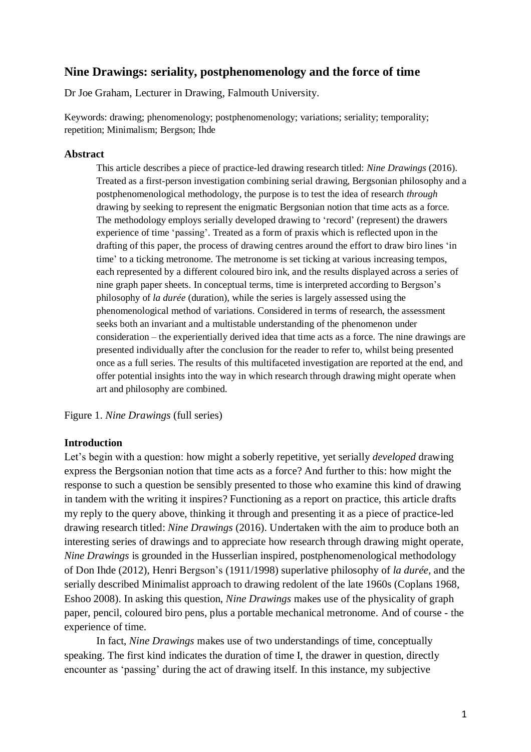# **Nine Drawings: seriality, postphenomenology and the force of time**

Dr Joe Graham, Lecturer in Drawing, Falmouth University.

Keywords: drawing; phenomenology; postphenomenology; variations; seriality; temporality; repetition; Minimalism; Bergson; Ihde

# **Abstract**

This article describes a piece of practice-led drawing research titled: *Nine Drawings* (2016). Treated as a first-person investigation combining serial drawing, Bergsonian philosophy and a postphenomenological methodology, the purpose is to test the idea of research *through* drawing by seeking to represent the enigmatic Bergsonian notion that time acts as a force. The methodology employs serially developed drawing to 'record' (represent) the drawers experience of time 'passing'. Treated as a form of praxis which is reflected upon in the drafting of this paper, the process of drawing centres around the effort to draw biro lines 'in time' to a ticking metronome. The metronome is set ticking at various increasing tempos, each represented by a different coloured biro ink, and the results displayed across a series of nine graph paper sheets. In conceptual terms, time is interpreted according to Bergson's philosophy of *la durée* (duration), while the series is largely assessed using the phenomenological method of variations. Considered in terms of research, the assessment seeks both an invariant and a multistable understanding of the phenomenon under consideration – the experientially derived idea that time acts as a force. The nine drawings are presented individually after the conclusion for the reader to refer to, whilst being presented once as a full series. The results of this multifaceted investigation are reported at the end, and offer potential insights into the way in which research through drawing might operate when art and philosophy are combined.

Figure 1. *Nine Drawings* (full series)

# **Introduction**

Let's begin with a question: how might a soberly repetitive, yet serially *developed* drawing express the Bergsonian notion that time acts as a force? And further to this: how might the response to such a question be sensibly presented to those who examine this kind of drawing in tandem with the writing it inspires? Functioning as a report on practice, this article drafts my reply to the query above, thinking it through and presenting it as a piece of practice-led drawing research titled: *Nine Drawings* (2016). Undertaken with the aim to produce both an interesting series of drawings and to appreciate how research through drawing might operate, *Nine Drawings* is grounded in the Husserlian inspired, postphenomenological methodology of Don Ihde (2012), Henri Bergson's (1911/1998) superlative philosophy of *la durée,* and the serially described Minimalist approach to drawing redolent of the late 1960s (Coplans 1968, Eshoo 2008). In asking this question, *Nine Drawings* makes use of the physicality of graph paper, pencil, coloured biro pens, plus a portable mechanical metronome. And of course - the experience of time.

In fact, *Nine Drawings* makes use of two understandings of time, conceptually speaking. The first kind indicates the duration of time I, the drawer in question, directly encounter as 'passing' during the act of drawing itself. In this instance, my subjective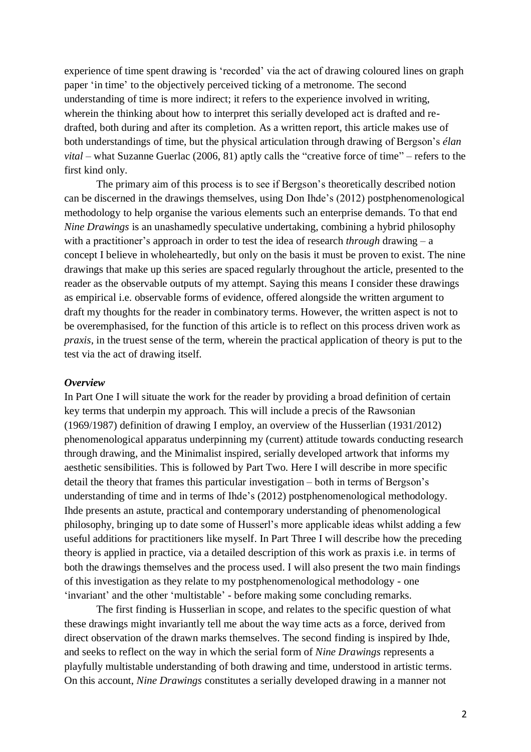experience of time spent drawing is 'recorded' via the act of drawing coloured lines on graph paper 'in time' to the objectively perceived ticking of a metronome. The second understanding of time is more indirect; it refers to the experience involved in writing, wherein the thinking about how to interpret this serially developed act is drafted and redrafted, both during and after its completion. As a written report, this article makes use of both understandings of time, but the physical articulation through drawing of Bergson's *élan vital* – what Suzanne Guerlac (2006, 81) aptly calls the "creative force of time" – refers to the first kind only.

The primary aim of this process is to see if Bergson's theoretically described notion can be discerned in the drawings themselves, using Don Ihde's (2012) postphenomenological methodology to help organise the various elements such an enterprise demands. To that end *Nine Drawings* is an unashamedly speculative undertaking, combining a hybrid philosophy with a practitioner's approach in order to test the idea of research *through* drawing – a concept I believe in wholeheartedly, but only on the basis it must be proven to exist. The nine drawings that make up this series are spaced regularly throughout the article, presented to the reader as the observable outputs of my attempt. Saying this means I consider these drawings as empirical i.e. observable forms of evidence, offered alongside the written argument to draft my thoughts for the reader in combinatory terms. However, the written aspect is not to be overemphasised, for the function of this article is to reflect on this process driven work as *praxis*, in the truest sense of the term, wherein the practical application of theory is put to the test via the act of drawing itself.

#### *Overview*

In Part One I will situate the work for the reader by providing a broad definition of certain key terms that underpin my approach. This will include a precis of the Rawsonian (1969/1987) definition of drawing I employ, an overview of the Husserlian (1931/2012) phenomenological apparatus underpinning my (current) attitude towards conducting research through drawing, and the Minimalist inspired, serially developed artwork that informs my aesthetic sensibilities. This is followed by Part Two. Here I will describe in more specific detail the theory that frames this particular investigation – both in terms of Bergson's understanding of time and in terms of Ihde's (2012) postphenomenological methodology. Ihde presents an astute, practical and contemporary understanding of phenomenological philosophy, bringing up to date some of Husserl's more applicable ideas whilst adding a few useful additions for practitioners like myself. In Part Three I will describe how the preceding theory is applied in practice, via a detailed description of this work as praxis i.e. in terms of both the drawings themselves and the process used. I will also present the two main findings of this investigation as they relate to my postphenomenological methodology - one 'invariant' and the other 'multistable' - before making some concluding remarks.

The first finding is Husserlian in scope, and relates to the specific question of what these drawings might invariantly tell me about the way time acts as a force, derived from direct observation of the drawn marks themselves. The second finding is inspired by Ihde, and seeks to reflect on the way in which the serial form of *Nine Drawings* represents a playfully multistable understanding of both drawing and time, understood in artistic terms. On this account, *Nine Drawings* constitutes a serially developed drawing in a manner not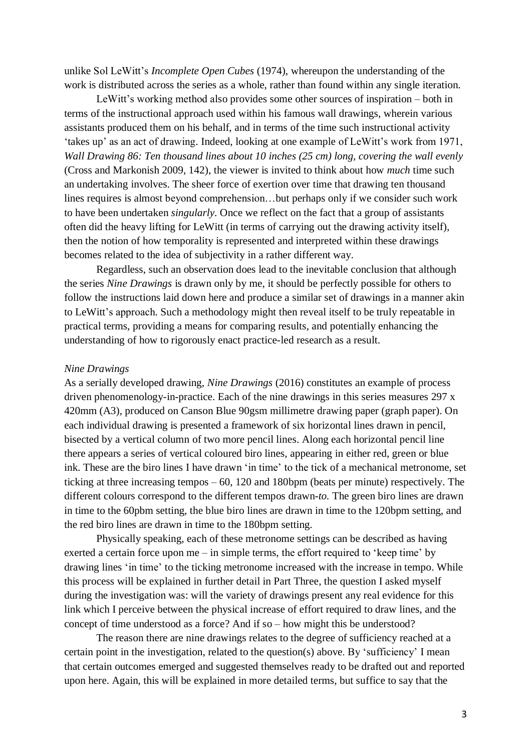unlike Sol LeWitt's *Incomplete Open Cubes* (1974), whereupon the understanding of the work is distributed across the series as a whole, rather than found within any single iteration.

LeWitt's working method also provides some other sources of inspiration – both in terms of the instructional approach used within his famous wall drawings, wherein various assistants produced them on his behalf, and in terms of the time such instructional activity 'takes up' as an act of drawing. Indeed, looking at one example of LeWitt's work from 1971, *Wall Drawing 86: Ten thousand lines about 10 inches (25 cm) long, covering the wall evenly* (Cross and Markonish 2009, 142), the viewer is invited to think about how *much* time such an undertaking involves. The sheer force of exertion over time that drawing ten thousand lines requires is almost beyond comprehension…but perhaps only if we consider such work to have been undertaken *singularly*. Once we reflect on the fact that a group of assistants often did the heavy lifting for LeWitt (in terms of carrying out the drawing activity itself), then the notion of how temporality is represented and interpreted within these drawings becomes related to the idea of subjectivity in a rather different way.

Regardless, such an observation does lead to the inevitable conclusion that although the series *Nine Drawings* is drawn only by me, it should be perfectly possible for others to follow the instructions laid down here and produce a similar set of drawings in a manner akin to LeWitt's approach. Such a methodology might then reveal itself to be truly repeatable in practical terms, providing a means for comparing results, and potentially enhancing the understanding of how to rigorously enact practice-led research as a result.

#### *Nine Drawings*

As a serially developed drawing, *Nine Drawings* (2016) constitutes an example of process driven phenomenology-in-practice. Each of the nine drawings in this series measures 297 x 420mm (A3), produced on Canson Blue 90gsm millimetre drawing paper (graph paper). On each individual drawing is presented a framework of six horizontal lines drawn in pencil, bisected by a vertical column of two more pencil lines. Along each horizontal pencil line there appears a series of vertical coloured biro lines, appearing in either red, green or blue ink. These are the biro lines I have drawn 'in time' to the tick of a mechanical metronome, set ticking at three increasing tempos – 60, 120 and 180bpm (beats per minute) respectively. The different colours correspond to the different tempos drawn-*to.* The green biro lines are drawn in time to the 60pbm setting, the blue biro lines are drawn in time to the 120bpm setting, and the red biro lines are drawn in time to the 180bpm setting.

Physically speaking, each of these metronome settings can be described as having exerted a certain force upon me – in simple terms, the effort required to 'keep time' by drawing lines 'in time' to the ticking metronome increased with the increase in tempo. While this process will be explained in further detail in Part Three, the question I asked myself during the investigation was: will the variety of drawings present any real evidence for this link which I perceive between the physical increase of effort required to draw lines, and the concept of time understood as a force? And if so – how might this be understood?

The reason there are nine drawings relates to the degree of sufficiency reached at a certain point in the investigation, related to the question(s) above. By 'sufficiency' I mean that certain outcomes emerged and suggested themselves ready to be drafted out and reported upon here. Again, this will be explained in more detailed terms, but suffice to say that the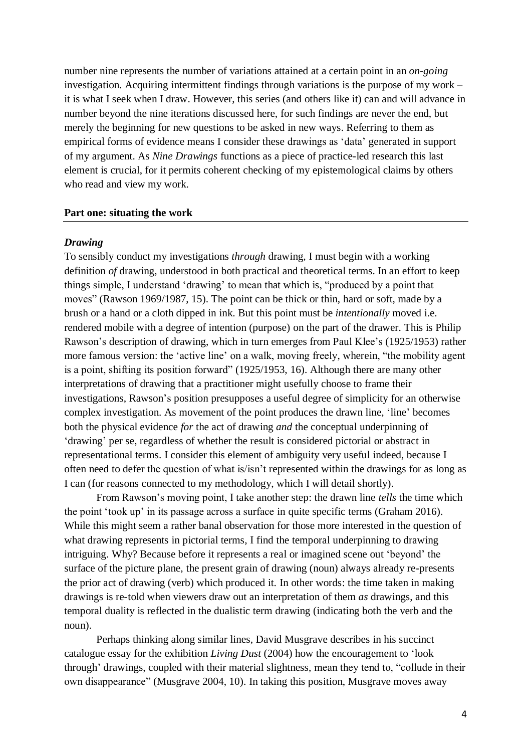number nine represents the number of variations attained at a certain point in an *on-going* investigation. Acquiring intermittent findings through variations is the purpose of my work – it is what I seek when I draw. However, this series (and others like it) can and will advance in number beyond the nine iterations discussed here, for such findings are never the end, but merely the beginning for new questions to be asked in new ways. Referring to them as empirical forms of evidence means I consider these drawings as 'data' generated in support of my argument. As *Nine Drawings* functions as a piece of practice-led research this last element is crucial, for it permits coherent checking of my epistemological claims by others who read and view my work.

### **Part one: situating the work**

#### *Drawing*

To sensibly conduct my investigations *through* drawing, I must begin with a working definition *of* drawing, understood in both practical and theoretical terms. In an effort to keep things simple, I understand 'drawing' to mean that which is, "produced by a point that moves" (Rawson 1969/1987, 15). The point can be thick or thin, hard or soft, made by a brush or a hand or a cloth dipped in ink. But this point must be *intentionally* moved i.e. rendered mobile with a degree of intention (purpose) on the part of the drawer. This is Philip Rawson's description of drawing, which in turn emerges from Paul Klee's (1925/1953) rather more famous version: the 'active line' on a walk, moving freely, wherein, "the mobility agent is a point, shifting its position forward" (1925/1953, 16). Although there are many other interpretations of drawing that a practitioner might usefully choose to frame their investigations, Rawson's position presupposes a useful degree of simplicity for an otherwise complex investigation. As movement of the point produces the drawn line, 'line' becomes both the physical evidence *for* the act of drawing *and* the conceptual underpinning of 'drawing' per se, regardless of whether the result is considered pictorial or abstract in representational terms. I consider this element of ambiguity very useful indeed, because I often need to defer the question of what is/isn't represented within the drawings for as long as I can (for reasons connected to my methodology, which I will detail shortly).

From Rawson's moving point, I take another step: the drawn line *tells* the time which the point 'took up' in its passage across a surface in quite specific terms (Graham 2016). While this might seem a rather banal observation for those more interested in the question of what drawing represents in pictorial terms, I find the temporal underpinning to drawing intriguing. Why? Because before it represents a real or imagined scene out 'beyond' the surface of the picture plane, the present grain of drawing (noun) always already re-presents the prior act of drawing (verb) which produced it. In other words: the time taken in making drawings is re-told when viewers draw out an interpretation of them *as* drawings, and this temporal duality is reflected in the dualistic term drawing (indicating both the verb and the noun).

Perhaps thinking along similar lines, David Musgrave describes in his succinct catalogue essay for the exhibition *Living Dust* (2004) how the encouragement to 'look through' drawings, coupled with their material slightness, mean they tend to, "collude in their own disappearance" (Musgrave 2004, 10). In taking this position, Musgrave moves away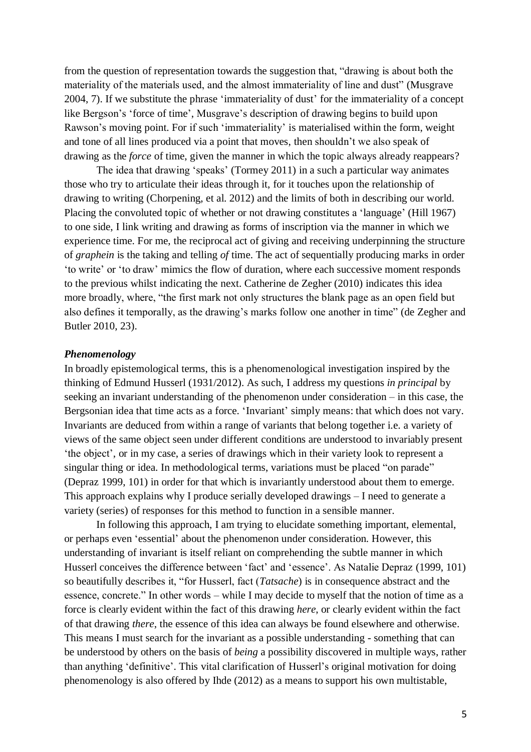from the question of representation towards the suggestion that, "drawing is about both the materiality of the materials used, and the almost immateriality of line and dust" (Musgrave 2004, 7). If we substitute the phrase 'immateriality of dust' for the immateriality of a concept like Bergson's 'force of time', Musgrave's description of drawing begins to build upon Rawson's moving point. For if such 'immateriality' is materialised within the form, weight and tone of all lines produced via a point that moves, then shouldn't we also speak of drawing as the *force* of time, given the manner in which the topic always already reappears?

The idea that drawing 'speaks' (Tormey 2011) in a such a particular way animates those who try to articulate their ideas through it, for it touches upon the relationship of drawing to writing (Chorpening, et al. 2012) and the limits of both in describing our world. Placing the convoluted topic of whether or not drawing constitutes a 'language' (Hill 1967) to one side, I link writing and drawing as forms of inscription via the manner in which we experience time. For me, the reciprocal act of giving and receiving underpinning the structure of *graphein* is the taking and telling *of* time. The act of sequentially producing marks in order 'to write' or 'to draw' mimics the flow of duration, where each successive moment responds to the previous whilst indicating the next. Catherine de Zegher (2010) indicates this idea more broadly, where, "the first mark not only structures the blank page as an open field but also defines it temporally, as the drawing's marks follow one another in time" (de Zegher and Butler 2010, 23).

#### *Phenomenology*

In broadly epistemological terms, this is a phenomenological investigation inspired by the thinking of Edmund Husserl (1931/2012). As such, I address my questions *in principal* by seeking an invariant understanding of the phenomenon under consideration – in this case, the Bergsonian idea that time acts as a force. 'Invariant' simply means: that which does not vary. Invariants are deduced from within a range of variants that belong together i.e. a variety of views of the same object seen under different conditions are understood to invariably present 'the object', or in my case, a series of drawings which in their variety look to represent a singular thing or idea. In methodological terms, variations must be placed "on parade" (Depraz 1999, 101) in order for that which is invariantly understood about them to emerge. This approach explains why I produce serially developed drawings – I need to generate a variety (series) of responses for this method to function in a sensible manner.

In following this approach, I am trying to elucidate something important, elemental, or perhaps even 'essential' about the phenomenon under consideration. However, this understanding of invariant is itself reliant on comprehending the subtle manner in which Husserl conceives the difference between 'fact' and 'essence'. As Natalie Depraz (1999, 101) so beautifully describes it, "for Husserl, fact (*Tatsache*) is in consequence abstract and the essence, concrete." In other words – while I may decide to myself that the notion of time as a force is clearly evident within the fact of this drawing *here*, or clearly evident within the fact of that drawing *there*, the essence of this idea can always be found elsewhere and otherwise. This means I must search for the invariant as a possible understanding - something that can be understood by others on the basis of *being* a possibility discovered in multiple ways, rather than anything 'definitive'. This vital clarification of Husserl's original motivation for doing phenomenology is also offered by Ihde (2012) as a means to support his own multistable,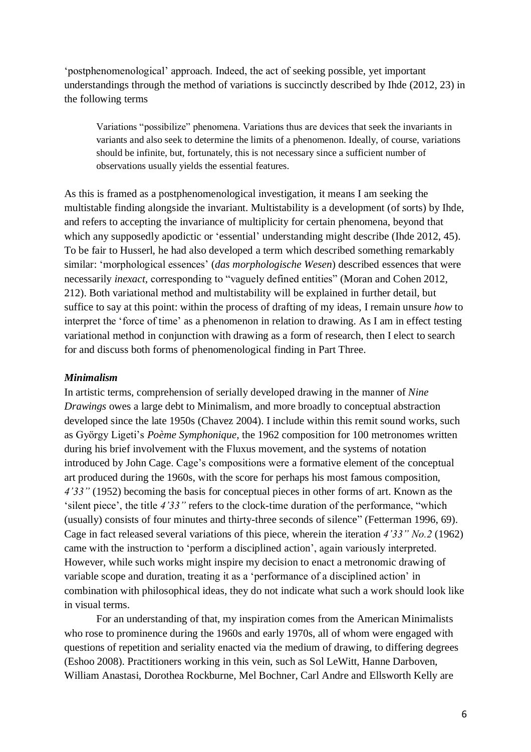'postphenomenological' approach. Indeed, the act of seeking possible, yet important understandings through the method of variations is succinctly described by Ihde (2012, 23) in the following terms

Variations "possibilize" phenomena. Variations thus are devices that seek the invariants in variants and also seek to determine the limits of a phenomenon. Ideally, of course, variations should be infinite, but, fortunately, this is not necessary since a sufficient number of observations usually yields the essential features.

As this is framed as a postphenomenological investigation, it means I am seeking the multistable finding alongside the invariant. Multistability is a development (of sorts) by Ihde, and refers to accepting the invariance of multiplicity for certain phenomena, beyond that which any supposedly apodictic or 'essential' understanding might describe (Ihde 2012, 45). To be fair to Husserl, he had also developed a term which described something remarkably similar: 'morphological essences' (*das morphologische Wesen*) described essences that were necessarily *inexact,* corresponding to "vaguely defined entities" (Moran and Cohen 2012, 212). Both variational method and multistability will be explained in further detail, but suffice to say at this point: within the process of drafting of my ideas, I remain unsure *how* to interpret the 'force of time' as a phenomenon in relation to drawing. As I am in effect testing variational method in conjunction with drawing as a form of research, then I elect to search for and discuss both forms of phenomenological finding in Part Three.

### *Minimalism*

In artistic terms, comprehension of serially developed drawing in the manner of *Nine Drawings* owes a large debt to Minimalism, and more broadly to conceptual abstraction developed since the late 1950s (Chavez 2004). I include within this remit sound works, such as György Ligeti's *Poème Symphonique,* the 1962 composition for 100 metronomes written during his brief involvement with the Fluxus movement, and the systems of notation introduced by John Cage. Cage's compositions were a formative element of the conceptual art produced during the 1960s, with the score for perhaps his most famous composition, *4'33"* (1952) becoming the basis for conceptual pieces in other forms of art. Known as the 'silent piece', the title *4'33"* refers to the clock-time duration of the performance, "which (usually) consists of four minutes and thirty-three seconds of silence" (Fetterman 1996, 69). Cage in fact released several variations of this piece, wherein the iteration *4'33" No.2* (1962) came with the instruction to 'perform a disciplined action', again variously interpreted. However, while such works might inspire my decision to enact a metronomic drawing of variable scope and duration, treating it as a 'performance of a disciplined action' in combination with philosophical ideas, they do not indicate what such a work should look like in visual terms.

For an understanding of that, my inspiration comes from the American Minimalists who rose to prominence during the 1960s and early 1970s, all of whom were engaged with questions of repetition and seriality enacted via the medium of drawing, to differing degrees (Eshoo 2008). Practitioners working in this vein, such as Sol LeWitt, Hanne Darboven, William Anastasi, Dorothea Rockburne, Mel Bochner, Carl Andre and Ellsworth Kelly are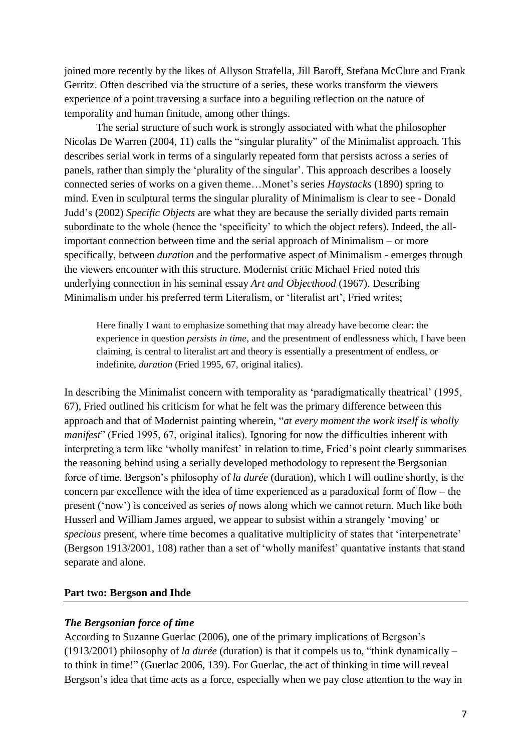joined more recently by the likes of Allyson Strafella, Jill Baroff, Stefana McClure and Frank Gerritz. Often described via the structure of a series, these works transform the viewers experience of a point traversing a surface into a beguiling reflection on the nature of temporality and human finitude, among other things.

The serial structure of such work is strongly associated with what the philosopher Nicolas De Warren (2004, 11) calls the "singular plurality" of the Minimalist approach. This describes serial work in terms of a singularly repeated form that persists across a series of panels, rather than simply the 'plurality of the singular'. This approach describes a loosely connected series of works on a given theme…Monet's series *Haystacks* (1890) spring to mind. Even in sculptural terms the singular plurality of Minimalism is clear to see - Donald Judd's (2002) *Specific Objects* are what they are because the serially divided parts remain subordinate to the whole (hence the 'specificity' to which the object refers). Indeed, the allimportant connection between time and the serial approach of Minimalism – or more specifically, between *duration* and the performative aspect of Minimalism - emerges through the viewers encounter with this structure. Modernist critic Michael Fried noted this underlying connection in his seminal essay *Art and Objecthood* (1967). Describing Minimalism under his preferred term Literalism, or 'literalist art', Fried writes;

Here finally I want to emphasize something that may already have become clear: the experience in question *persists in time*, and the presentment of endlessness which, I have been claiming, is central to literalist art and theory is essentially a presentment of endless, or indefinite, *duration* (Fried 1995, 67, original italics).

In describing the Minimalist concern with temporality as 'paradigmatically theatrical' (1995, 67), Fried outlined his criticism for what he felt was the primary difference between this approach and that of Modernist painting wherein, "*at every moment the work itself is wholly manifest*" (Fried 1995, 67, original italics). Ignoring for now the difficulties inherent with interpreting a term like 'wholly manifest' in relation to time, Fried's point clearly summarises the reasoning behind using a serially developed methodology to represent the Bergsonian force of time. Bergson's philosophy of *la durée* (duration), which I will outline shortly, is the concern par excellence with the idea of time experienced as a paradoxical form of flow – the present ('now') is conceived as series *of* nows along which we cannot return. Much like both Husserl and William James argued, we appear to subsist within a strangely 'moving' or *specious* present, where time becomes a qualitative multiplicity of states that 'interpenetrate' (Bergson 1913/2001, 108) rather than a set of 'wholly manifest' quantative instants that stand separate and alone.

# **Part two: Bergson and Ihde**

# *The Bergsonian force of time*

According to Suzanne Guerlac (2006), one of the primary implications of Bergson's (1913/2001) philosophy of *la durée* (duration) is that it compels us to, "think dynamically – to think in time!" (Guerlac 2006, 139). For Guerlac, the act of thinking in time will reveal Bergson's idea that time acts as a force, especially when we pay close attention to the way in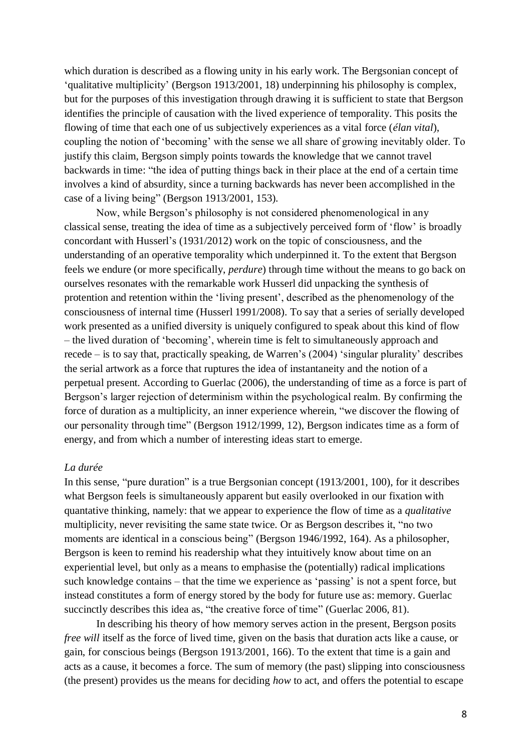which duration is described as a flowing unity in his early work. The Bergsonian concept of 'qualitative multiplicity' (Bergson 1913/2001, 18) underpinning his philosophy is complex, but for the purposes of this investigation through drawing it is sufficient to state that Bergson identifies the principle of causation with the lived experience of temporality. This posits the flowing of time that each one of us subjectively experiences as a vital force (*élan vital*), coupling the notion of 'becoming' with the sense we all share of growing inevitably older. To justify this claim, Bergson simply points towards the knowledge that we cannot travel backwards in time: "the idea of putting things back in their place at the end of a certain time involves a kind of absurdity, since a turning backwards has never been accomplished in the case of a living being" (Bergson 1913/2001, 153)*.* 

Now, while Bergson's philosophy is not considered phenomenological in any classical sense, treating the idea of time as a subjectively perceived form of 'flow' is broadly concordant with Husserl's (1931/2012) work on the topic of consciousness, and the understanding of an operative temporality which underpinned it. To the extent that Bergson feels we endure (or more specifically, *perdure*) through time without the means to go back on ourselves resonates with the remarkable work Husserl did unpacking the synthesis of protention and retention within the 'living present', described as the phenomenology of the consciousness of internal time (Husserl 1991/2008). To say that a series of serially developed work presented as a unified diversity is uniquely configured to speak about this kind of flow – the lived duration of 'becoming', wherein time is felt to simultaneously approach and recede – is to say that, practically speaking, de Warren's (2004) 'singular plurality' describes the serial artwork as a force that ruptures the idea of instantaneity and the notion of a perpetual present. According to Guerlac (2006), the understanding of time as a force is part of Bergson's larger rejection of determinism within the psychological realm. By confirming the force of duration as a multiplicity, an inner experience wherein, "we discover the flowing of our personality through time" (Bergson 1912/1999, 12), Bergson indicates time as a form of energy, and from which a number of interesting ideas start to emerge.

## *La durée*

In this sense, "pure duration" is a true Bergsonian concept (1913/2001, 100), for it describes what Bergson feels is simultaneously apparent but easily overlooked in our fixation with quantative thinking, namely: that we appear to experience the flow of time as a *qualitative*  multiplicity, never revisiting the same state twice. Or as Bergson describes it, "no two moments are identical in a conscious being" (Bergson 1946/1992, 164). As a philosopher, Bergson is keen to remind his readership what they intuitively know about time on an experiential level, but only as a means to emphasise the (potentially) radical implications such knowledge contains – that the time we experience as 'passing' is not a spent force, but instead constitutes a form of energy stored by the body for future use as: memory. Guerlac succinctly describes this idea as, "the creative force of time" (Guerlac 2006, 81).

In describing his theory of how memory serves action in the present, Bergson posits *free will* itself as the force of lived time, given on the basis that duration acts like a cause, or gain, for conscious beings (Bergson 1913/2001, 166). To the extent that time is a gain and acts as a cause, it becomes a force. The sum of memory (the past) slipping into consciousness (the present) provides us the means for deciding *how* to act, and offers the potential to escape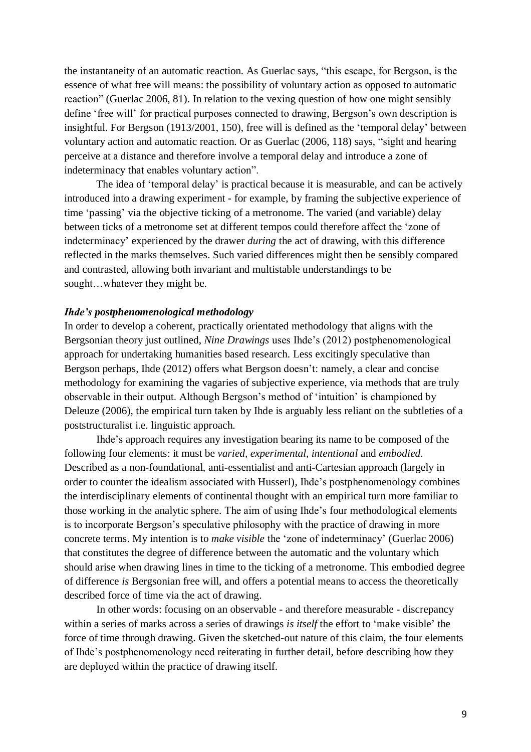the instantaneity of an automatic reaction. As Guerlac says, "this escape, for Bergson, is the essence of what free will means: the possibility of voluntary action as opposed to automatic reaction" (Guerlac 2006, 81). In relation to the vexing question of how one might sensibly define 'free will' for practical purposes connected to drawing, Bergson's own description is insightful. For Bergson (1913/2001, 150), free will is defined as the 'temporal delay' between voluntary action and automatic reaction. Or as Guerlac (2006, 118) says, "sight and hearing perceive at a distance and therefore involve a temporal delay and introduce a zone of indeterminacy that enables voluntary action".

The idea of 'temporal delay' is practical because it is measurable, and can be actively introduced into a drawing experiment - for example, by framing the subjective experience of time 'passing' via the objective ticking of a metronome. The varied (and variable) delay between ticks of a metronome set at different tempos could therefore affect the 'zone of indeterminacy' experienced by the drawer *during* the act of drawing, with this difference reflected in the marks themselves. Such varied differences might then be sensibly compared and contrasted, allowing both invariant and multistable understandings to be sought…whatever they might be.

### *Ihde's postphenomenological methodology*

In order to develop a coherent, practically orientated methodology that aligns with the Bergsonian theory just outlined, *Nine Drawings* uses Ihde's (2012) postphenomenological approach for undertaking humanities based research. Less excitingly speculative than Bergson perhaps, Ihde (2012) offers what Bergson doesn't: namely, a clear and concise methodology for examining the vagaries of subjective experience, via methods that are truly observable in their output. Although Bergson's method of 'intuition' is championed by Deleuze (2006), the empirical turn taken by Ihde is arguably less reliant on the subtleties of a poststructuralist i.e. linguistic approach.

Ihde's approach requires any investigation bearing its name to be composed of the following four elements: it must be *varied, experimental, intentional* and *embodied*. Described as a non-foundational, anti-essentialist and anti-Cartesian approach (largely in order to counter the idealism associated with Husserl), Ihde's postphenomenology combines the interdisciplinary elements of continental thought with an empirical turn more familiar to those working in the analytic sphere. The aim of using Ihde's four methodological elements is to incorporate Bergson's speculative philosophy with the practice of drawing in more concrete terms. My intention is to *make visible* the 'zone of indeterminacy' (Guerlac 2006) that constitutes the degree of difference between the automatic and the voluntary which should arise when drawing lines in time to the ticking of a metronome. This embodied degree of difference *is* Bergsonian free will, and offers a potential means to access the theoretically described force of time via the act of drawing.

In other words: focusing on an observable - and therefore measurable - discrepancy within a series of marks across a series of drawings *is itself* the effort to 'make visible' the force of time through drawing. Given the sketched-out nature of this claim, the four elements of Ihde's postphenomenology need reiterating in further detail, before describing how they are deployed within the practice of drawing itself.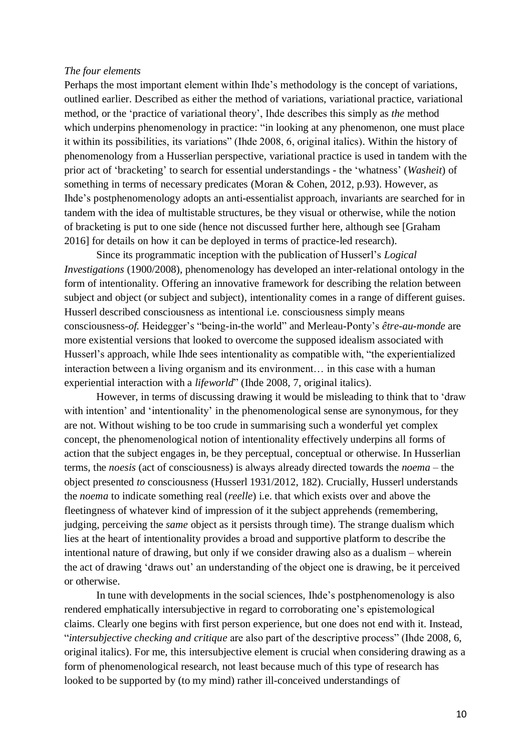### *The four elements*

Perhaps the most important element within Ihde's methodology is the concept of variations, outlined earlier. Described as either the method of variations, variational practice, variational method, or the 'practice of variational theory', Ihde describes this simply as *the* method which underpins phenomenology in practice: "in looking at any phenomenon, one must place it within its possibilities, its variations" (Ihde 2008, 6, original italics). Within the history of phenomenology from a Husserlian perspective, variational practice is used in tandem with the prior act of 'bracketing' to search for essential understandings - the 'whatness' (*Washeit*) of something in terms of necessary predicates (Moran & Cohen, 2012, p.93). However, as Ihde's postphenomenology adopts an anti-essentialist approach, invariants are searched for in tandem with the idea of multistable structures, be they visual or otherwise, while the notion of bracketing is put to one side (hence not discussed further here, although see [Graham 2016] for details on how it can be deployed in terms of practice-led research).

Since its programmatic inception with the publication of Husserl's *Logical Investigations* (1900/2008), phenomenology has developed an inter-relational ontology in the form of intentionality*.* Offering an innovative framework for describing the relation between subject and object (or subject and subject), intentionality comes in a range of different guises. Husserl described consciousness as intentional i.e. consciousness simply means consciousness-*of.* Heidegger's "being-in-the world" and Merleau-Ponty's *être-au-monde* are more existential versions that looked to overcome the supposed idealism associated with Husserl's approach, while Ihde sees intentionality as compatible with, "the experientialized interaction between a living organism and its environment… in this case with a human experiential interaction with a *lifeworld*" (Ihde 2008, 7, original italics).

However, in terms of discussing drawing it would be misleading to think that to 'draw with intention' and 'intentionality' in the phenomenological sense are synonymous, for they are not. Without wishing to be too crude in summarising such a wonderful yet complex concept, the phenomenological notion of intentionality effectively underpins all forms of action that the subject engages in, be they perceptual, conceptual or otherwise. In Husserlian terms, the *noesis* (act of consciousness) is always already directed towards the *noema* – the object presented *to* consciousness (Husserl 1931/2012, 182). Crucially, Husserl understands the *noema* to indicate something real (*reelle*) i.e. that which exists over and above the fleetingness of whatever kind of impression of it the subject apprehends (remembering, judging, perceiving the *same* object as it persists through time). The strange dualism which lies at the heart of intentionality provides a broad and supportive platform to describe the intentional nature of drawing, but only if we consider drawing also as a dualism – wherein the act of drawing 'draws out' an understanding of the object one is drawing, be it perceived or otherwise.

In tune with developments in the social sciences, Ihde's postphenomenology is also rendered emphatically intersubjective in regard to corroborating one's epistemological claims. Clearly one begins with first person experience, but one does not end with it. Instead, "*intersubjective checking and critique* are also part of the descriptive process" (Ihde 2008, 6, original italics). For me, this intersubjective element is crucial when considering drawing as a form of phenomenological research, not least because much of this type of research has looked to be supported by (to my mind) rather ill-conceived understandings of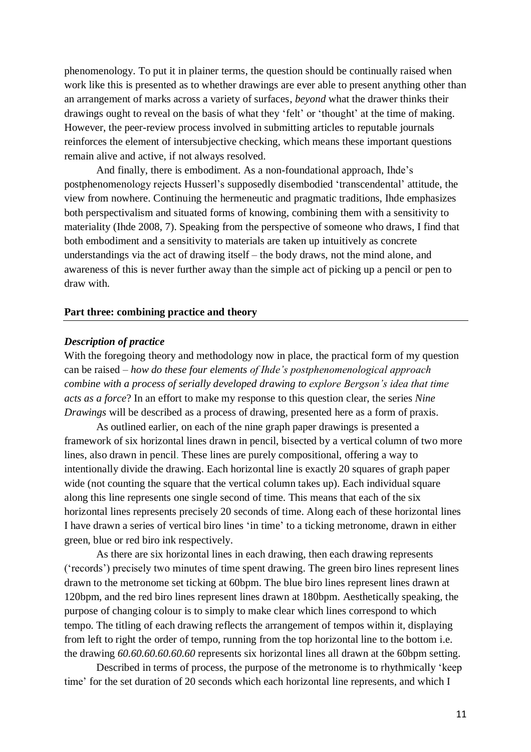phenomenology. To put it in plainer terms, the question should be continually raised when work like this is presented as to whether drawings are ever able to present anything other than an arrangement of marks across a variety of surfaces, *beyond* what the drawer thinks their drawings ought to reveal on the basis of what they 'felt' or 'thought' at the time of making. However, the peer-review process involved in submitting articles to reputable journals reinforces the element of intersubjective checking, which means these important questions remain alive and active, if not always resolved.

And finally, there is embodiment. As a non-foundational approach, Ihde's postphenomenology rejects Husserl's supposedly disembodied 'transcendental' attitude, the view from nowhere. Continuing the hermeneutic and pragmatic traditions, Ihde emphasizes both perspectivalism and situated forms of knowing, combining them with a sensitivity to materiality (Ihde 2008, 7). Speaking from the perspective of someone who draws, I find that both embodiment and a sensitivity to materials are taken up intuitively as concrete understandings via the act of drawing itself – the body draws, not the mind alone, and awareness of this is never further away than the simple act of picking up a pencil or pen to draw with.

### **Part three: combining practice and theory**

### *Description of practice*

With the foregoing theory and methodology now in place, the practical form of my question can be raised – *how do these four elements of Ihde's postphenomenological approach combine with a process of serially developed drawing to explore Bergson's idea that time acts as a force*? In an effort to make my response to this question clear, the series *Nine Drawings* will be described as a process of drawing, presented here as a form of praxis.

As outlined earlier, on each of the nine graph paper drawings is presented a framework of six horizontal lines drawn in pencil, bisected by a vertical column of two more lines, also drawn in pencil. These lines are purely compositional, offering a way to intentionally divide the drawing. Each horizontal line is exactly 20 squares of graph paper wide (not counting the square that the vertical column takes up). Each individual square along this line represents one single second of time. This means that each of the six horizontal lines represents precisely 20 seconds of time. Along each of these horizontal lines I have drawn a series of vertical biro lines 'in time' to a ticking metronome, drawn in either green, blue or red biro ink respectively.

As there are six horizontal lines in each drawing, then each drawing represents ('records') precisely two minutes of time spent drawing. The green biro lines represent lines drawn to the metronome set ticking at 60bpm. The blue biro lines represent lines drawn at 120bpm, and the red biro lines represent lines drawn at 180bpm. Aesthetically speaking, the purpose of changing colour is to simply to make clear which lines correspond to which tempo. The titling of each drawing reflects the arrangement of tempos within it, displaying from left to right the order of tempo, running from the top horizontal line to the bottom i.e. the drawing *60.60.60.60.60.60* represents six horizontal lines all drawn at the 60bpm setting.

Described in terms of process, the purpose of the metronome is to rhythmically 'keep time' for the set duration of 20 seconds which each horizontal line represents, and which I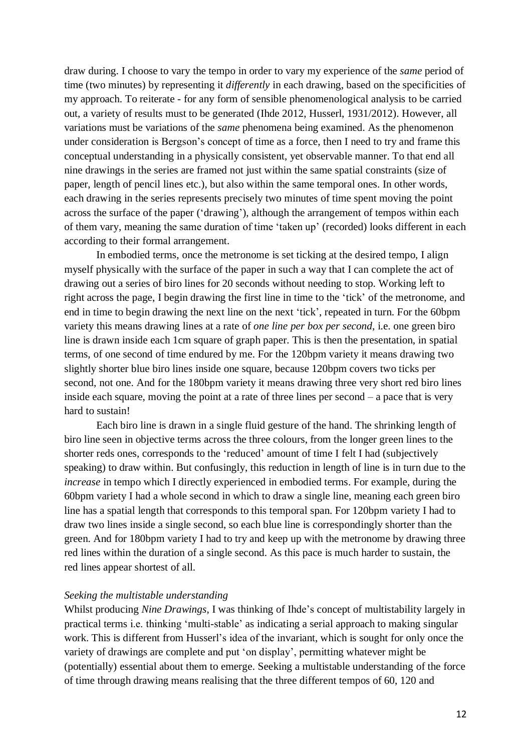draw during. I choose to vary the tempo in order to vary my experience of the *same* period of time (two minutes) by representing it *differently* in each drawing, based on the specificities of my approach. To reiterate - for any form of sensible phenomenological analysis to be carried out, a variety of results must to be generated (Ihde 2012, Husserl, 1931/2012). However, all variations must be variations of the *same* phenomena being examined. As the phenomenon under consideration is Bergson's concept of time as a force, then I need to try and frame this conceptual understanding in a physically consistent, yet observable manner. To that end all nine drawings in the series are framed not just within the same spatial constraints (size of paper, length of pencil lines etc.), but also within the same temporal ones. In other words, each drawing in the series represents precisely two minutes of time spent moving the point across the surface of the paper ('drawing'), although the arrangement of tempos within each of them vary, meaning the same duration of time 'taken up' (recorded) looks different in each according to their formal arrangement.

In embodied terms, once the metronome is set ticking at the desired tempo, I align myself physically with the surface of the paper in such a way that I can complete the act of drawing out a series of biro lines for 20 seconds without needing to stop. Working left to right across the page, I begin drawing the first line in time to the 'tick' of the metronome, and end in time to begin drawing the next line on the next 'tick', repeated in turn. For the 60bpm variety this means drawing lines at a rate of *one line per box per second*, i.e. one green biro line is drawn inside each 1cm square of graph paper. This is then the presentation, in spatial terms, of one second of time endured by me. For the 120bpm variety it means drawing two slightly shorter blue biro lines inside one square, because 120bpm covers two ticks per second, not one. And for the 180bpm variety it means drawing three very short red biro lines inside each square, moving the point at a rate of three lines per second – a pace that is very hard to sustain!

Each biro line is drawn in a single fluid gesture of the hand. The shrinking length of biro line seen in objective terms across the three colours, from the longer green lines to the shorter reds ones, corresponds to the 'reduced' amount of time I felt I had (subjectively speaking) to draw within. But confusingly, this reduction in length of line is in turn due to the *increase* in tempo which I directly experienced in embodied terms. For example, during the 60bpm variety I had a whole second in which to draw a single line, meaning each green biro line has a spatial length that corresponds to this temporal span. For 120bpm variety I had to draw two lines inside a single second, so each blue line is correspondingly shorter than the green. And for 180bpm variety I had to try and keep up with the metronome by drawing three red lines within the duration of a single second. As this pace is much harder to sustain, the red lines appear shortest of all.

### *Seeking the multistable understanding*

Whilst producing *Nine Drawings*, I was thinking of Ihde's concept of multistability largely in practical terms i.e. thinking 'multi-stable' as indicating a serial approach to making singular work. This is different from Husserl's idea of the invariant, which is sought for only once the variety of drawings are complete and put 'on display', permitting whatever might be (potentially) essential about them to emerge. Seeking a multistable understanding of the force of time through drawing means realising that the three different tempos of 60, 120 and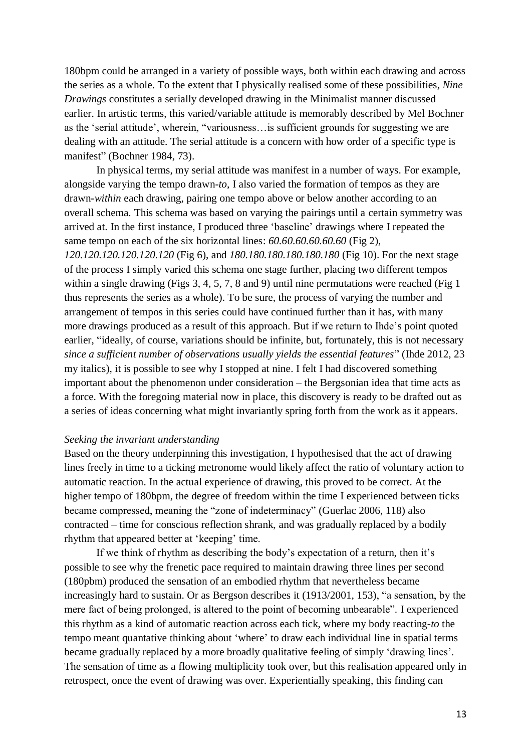180bpm could be arranged in a variety of possible ways, both within each drawing and across the series as a whole. To the extent that I physically realised some of these possibilities, *Nine Drawings* constitutes a serially developed drawing in the Minimalist manner discussed earlier. In artistic terms, this varied/variable attitude is memorably described by Mel Bochner as the 'serial attitude', wherein, "variousness…is sufficient grounds for suggesting we are dealing with an attitude. The serial attitude is a concern with how order of a specific type is manifest" (Bochner 1984, 73).

In physical terms, my serial attitude was manifest in a number of ways. For example, alongside varying the tempo drawn-*to*, I also varied the formation of tempos as they are drawn-*within* each drawing, pairing one tempo above or below another according to an overall schema. This schema was based on varying the pairings until a certain symmetry was arrived at. In the first instance, I produced three 'baseline' drawings where I repeated the same tempo on each of the six horizontal lines: *60.60.60.60.60.60* (Fig 2), *120.120.120.120.120.120* (Fig 6), and *180.180.180.180.180.180* (Fig 10). For the next stage of the process I simply varied this schema one stage further, placing two different tempos within a single drawing (Figs 3, 4, 5, 7, 8 and 9) until nine permutations were reached (Fig 1 thus represents the series as a whole). To be sure, the process of varying the number and arrangement of tempos in this series could have continued further than it has, with many more drawings produced as a result of this approach. But if we return to Ihde's point quoted earlier, "ideally, of course, variations should be infinite, but, fortunately, this is not necessary *since a sufficient number of observations usually yields the essential features*" (Ihde 2012, 23 my italics), it is possible to see why I stopped at nine. I felt I had discovered something important about the phenomenon under consideration – the Bergsonian idea that time acts as a force. With the foregoing material now in place, this discovery is ready to be drafted out as a series of ideas concerning what might invariantly spring forth from the work as it appears.

### *Seeking the invariant understanding*

Based on the theory underpinning this investigation, I hypothesised that the act of drawing lines freely in time to a ticking metronome would likely affect the ratio of voluntary action to automatic reaction. In the actual experience of drawing, this proved to be correct. At the higher tempo of 180bpm, the degree of freedom within the time I experienced between ticks became compressed, meaning the "zone of indeterminacy" (Guerlac 2006, 118) also contracted – time for conscious reflection shrank, and was gradually replaced by a bodily rhythm that appeared better at 'keeping' time.

If we think of rhythm as describing the body's expectation of a return, then it's possible to see why the frenetic pace required to maintain drawing three lines per second (180pbm) produced the sensation of an embodied rhythm that nevertheless became increasingly hard to sustain. Or as Bergson describes it (1913/2001, 153), "a sensation, by the mere fact of being prolonged, is altered to the point of becoming unbearable". I experienced this rhythm as a kind of automatic reaction across each tick, where my body reacting-*to* the tempo meant quantative thinking about 'where' to draw each individual line in spatial terms became gradually replaced by a more broadly qualitative feeling of simply 'drawing lines'. The sensation of time as a flowing multiplicity took over, but this realisation appeared only in retrospect, once the event of drawing was over. Experientially speaking, this finding can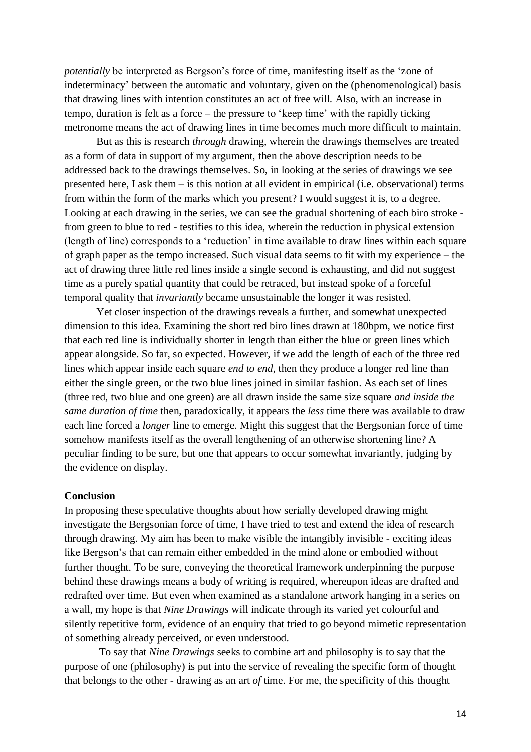*potentially* be interpreted as Bergson's force of time, manifesting itself as the 'zone of indeterminacy' between the automatic and voluntary, given on the (phenomenological) basis that drawing lines with intention constitutes an act of free will. Also, with an increase in tempo, duration is felt as a force – the pressure to 'keep time' with the rapidly ticking metronome means the act of drawing lines in time becomes much more difficult to maintain.

But as this is research *through* drawing, wherein the drawings themselves are treated as a form of data in support of my argument, then the above description needs to be addressed back to the drawings themselves. So, in looking at the series of drawings we see presented here, I ask them – is this notion at all evident in empirical (i.e. observational) terms from within the form of the marks which you present? I would suggest it is, to a degree. Looking at each drawing in the series, we can see the gradual shortening of each biro stroke from green to blue to red - testifies to this idea, wherein the reduction in physical extension (length of line) corresponds to a 'reduction' in time available to draw lines within each square of graph paper as the tempo increased. Such visual data seems to fit with my experience – the act of drawing three little red lines inside a single second is exhausting, and did not suggest time as a purely spatial quantity that could be retraced, but instead spoke of a forceful temporal quality that *invariantly* became unsustainable the longer it was resisted.

Yet closer inspection of the drawings reveals a further, and somewhat unexpected dimension to this idea. Examining the short red biro lines drawn at 180bpm, we notice first that each red line is individually shorter in length than either the blue or green lines which appear alongside. So far, so expected. However, if we add the length of each of the three red lines which appear inside each square *end to end,* then they produce a longer red line than either the single green, or the two blue lines joined in similar fashion. As each set of lines (three red, two blue and one green) are all drawn inside the same size square *and inside the same duration of time* then, paradoxically, it appears the *less* time there was available to draw each line forced a *longer* line to emerge. Might this suggest that the Bergsonian force of time somehow manifests itself as the overall lengthening of an otherwise shortening line? A peculiar finding to be sure, but one that appears to occur somewhat invariantly, judging by the evidence on display.

### **Conclusion**

In proposing these speculative thoughts about how serially developed drawing might investigate the Bergsonian force of time, I have tried to test and extend the idea of research through drawing. My aim has been to make visible the intangibly invisible - exciting ideas like Bergson's that can remain either embedded in the mind alone or embodied without further thought. To be sure, conveying the theoretical framework underpinning the purpose behind these drawings means a body of writing is required, whereupon ideas are drafted and redrafted over time. But even when examined as a standalone artwork hanging in a series on a wall, my hope is that *Nine Drawings* will indicate through its varied yet colourful and silently repetitive form, evidence of an enquiry that tried to go beyond mimetic representation of something already perceived, or even understood.

To say that *Nine Drawings* seeks to combine art and philosophy is to say that the purpose of one (philosophy) is put into the service of revealing the specific form of thought that belongs to the other - drawing as an art *of* time. For me, the specificity of this thought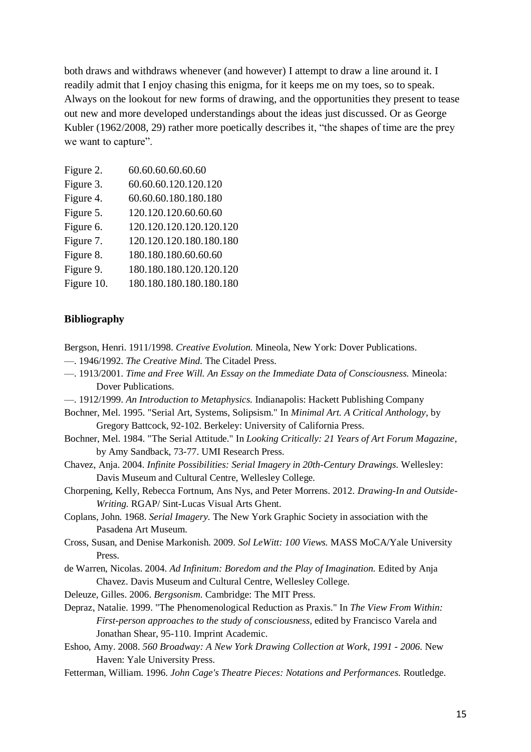both draws and withdraws whenever (and however) I attempt to draw a line around it. I readily admit that I enjoy chasing this enigma, for it keeps me on my toes, so to speak. Always on the lookout for new forms of drawing, and the opportunities they present to tease out new and more developed understandings about the ideas just discussed. Or as George Kubler (1962/2008, 29) rather more poetically describes it, "the shapes of time are the prey we want to capture".

| Figure 2.  | 60.60.60.60.60.60       |
|------------|-------------------------|
| Figure 3.  | 60.60.60.120.120.120    |
| Figure 4.  | 60.60.60.180.180.180    |
| Figure 5.  | 120.120.120.60.60.60    |
| Figure 6.  | 120.120.120.120.120.120 |
| Figure 7.  | 120.120.120.180.180.180 |
| Figure 8.  | 180.180.180.60.60.60    |
| Figure 9.  | 180.180.180.120.120.120 |
| Figure 10. | 180.180.180.180.180.180 |
|            |                         |

# **Bibliography**

- Bergson, Henri. 1911/1998. *Creative Evolution.* Mineola, New York: Dover Publications.
- —. 1946/1992. *The Creative Mind.* The Citadel Press.
- —. 1913/2001. *Time and Free Will. An Essay on the Immediate Data of Consciousness.* Mineola: Dover Publications.
- —. 1912/1999. *An Introduction to Metaphysics.* Indianapolis: Hackett Publishing Company
- Bochner, Mel. 1995. "Serial Art, Systems, Solipsism." In *Minimal Art. A Critical Anthology*, by Gregory Battcock, 92-102. Berkeley: University of California Press.
- Bochner, Mel. 1984. "The Serial Attitude." In *Looking Critically: 21 Years of Art Forum Magazine*, by Amy Sandback, 73-77. UMI Research Press.
- Chavez, Anja. 2004. *Infinite Possibilities: Serial Imagery in 20th-Century Drawings.* Wellesley: Davis Museum and Cultural Centre, Wellesley College.
- Chorpening, Kelly, Rebecca Fortnum, Ans Nys, and Peter Morrens. 2012. *Drawing-In and Outside-Writing.* RGAP/ Sint-Lucas Visual Arts Ghent.
- Coplans, John. 1968. *Serial Imagery.* The New York Graphic Society in association with the Pasadena Art Museum.
- Cross, Susan, and Denise Markonish. 2009. *Sol LeWitt: 100 Views.* MASS MoCA/Yale University Press.
- de Warren, Nicolas. 2004. *Ad Infinitum: Boredom and the Play of Imagination.* Edited by Anja Chavez. Davis Museum and Cultural Centre, Wellesley College.
- Deleuze, Gilles. 2006. *Bergsonism.* Cambridge: The MIT Press.
- Depraz, Natalie. 1999. "The Phenomenological Reduction as Praxis." In *The View From Within: First-person approaches to the study of consciousness,* edited by Francisco Varela and Jonathan Shear, 95-110. Imprint Academic.
- Eshoo, Amy. 2008. *560 Broadway: A New York Drawing Collection at Work, 1991 - 2006.* New Haven: Yale University Press.
- Fetterman, William. 1996. *John Cage's Theatre Pieces: Notations and Performances.* Routledge.